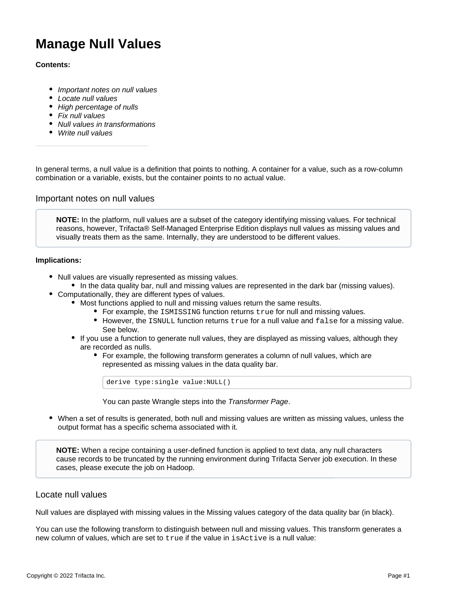# **Manage Null Values**

## **Contents:**

- [Important notes on null values](#page-0-0)
- [Locate null values](#page-0-1)
- [High percentage of nulls](#page-1-0)
- [Fix null values](#page-1-1)
- [Null values in transformations](#page-1-2)
- [Write null values](#page-1-3)

In general terms, a null value is a definition that points to nothing. A container for a value, such as a row-column combination or a variable, exists, but the container points to no actual value.

# <span id="page-0-0"></span>Important notes on null values

**NOTE:** In the platform, null values are a subset of the category identifying missing values. For technical reasons, however, Trifacta® Self-Managed Enterprise Edition displays null values as missing values and visually treats them as the same. Internally, they are understood to be different values.

#### **Implications:**

- Null values are visually represented as missing values.
	- In the data quality bar, null and missing values are represented in the dark bar (missing values).
- Computationally, they are different types of values.
	- Most functions applied to null and missing values return the same results.
		- For example, the ISMISSING function returns true for null and missing values.
		- $\bullet$  However, the ISNULL function returns  $true$  for a null value and  $false$  for a missing value. See below.
	- If you use a function to generate null values, they are displayed as missing values, although they are recorded as nulls.
		- For example, the following transform generates a column of null values, which are represented as missing values in the data quality bar.

derive type:single value:NULL()

You can paste Wrangle steps into the [Transformer Page](https://docs.trifacta.com/display/r050/Transformer+Page).

When a set of results is generated, both null and missing values are written as missing values, unless the output format has a specific schema associated with it.

**NOTE:** When a recipe containing a user-defined function is applied to text data, any null characters cause records to be truncated by the running environment during Trifacta Server job execution. In these cases, please execute the job on Hadoop.

# <span id="page-0-1"></span>Locate null values

Null values are displayed with missing values in the Missing values category of the data quality bar (in black).

You can use the following transform to distinguish between null and missing values. This transform generates a new column of values, which are set to  $true$  if the value in is  $Active$  is a null value: